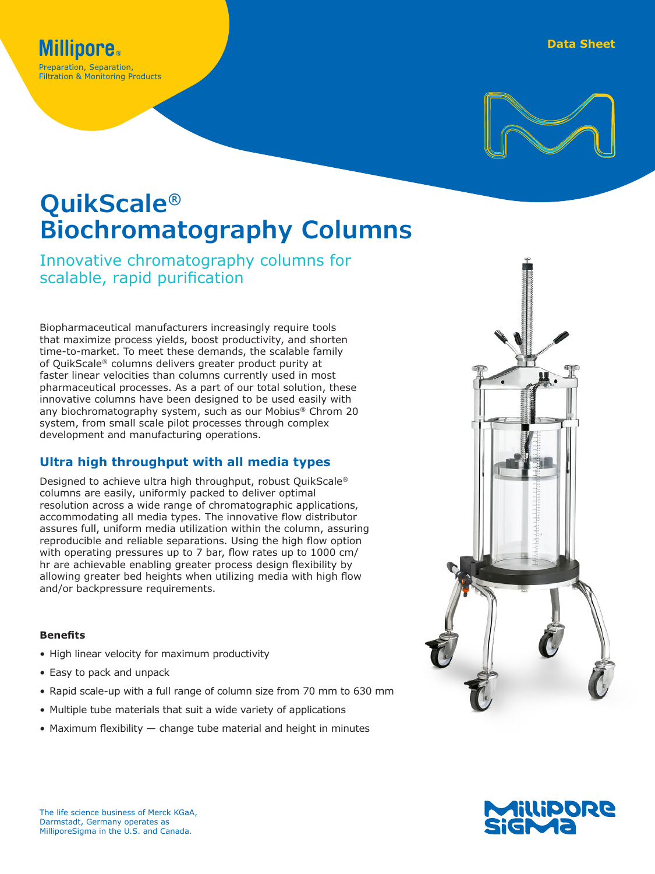



# **QuikScale® Biochromatography Columns**

# Innovative chromatography columns for scalable, rapid purification

Biopharmaceutical manufacturers increasingly require tools that maximize process yields, boost productivity, and shorten time-to-market. To meet these demands, the scalable family of QuikScale® columns delivers greater product purity at faster linear velocities than columns currently used in most pharmaceutical processes. As a part of our total solution, these innovative columns have been designed to be used easily with any biochromatography system, such as our Mobius® Chrom 20 system, from small scale pilot processes through complex development and manufacturing operations.

# **Ultra high throughput with all media types**

Designed to achieve ultra high throughput, robust QuikScale® columns are easily, uniformly packed to deliver optimal resolution across a wide range of chromatographic applications, accommodating all media types. The innovative flow distributor assures full, uniform media utilization within the column, assuring reproducible and reliable separations. Using the high flow option with operating pressures up to 7 bar, flow rates up to 1000 cm/ hr are achievable enabling greater process design flexibility by allowing greater bed heights when utilizing media with high flow and/or backpressure requirements.

## **Benefits**

- High linear velocity for maximum productivity
- Easy to pack and unpack
- Rapid scale-up with a full range of column size from 70 mm to 630 mm
- Multiple tube materials that suit a wide variety of applications
- Maximum flexibility  $-$  change tube material and height in minutes



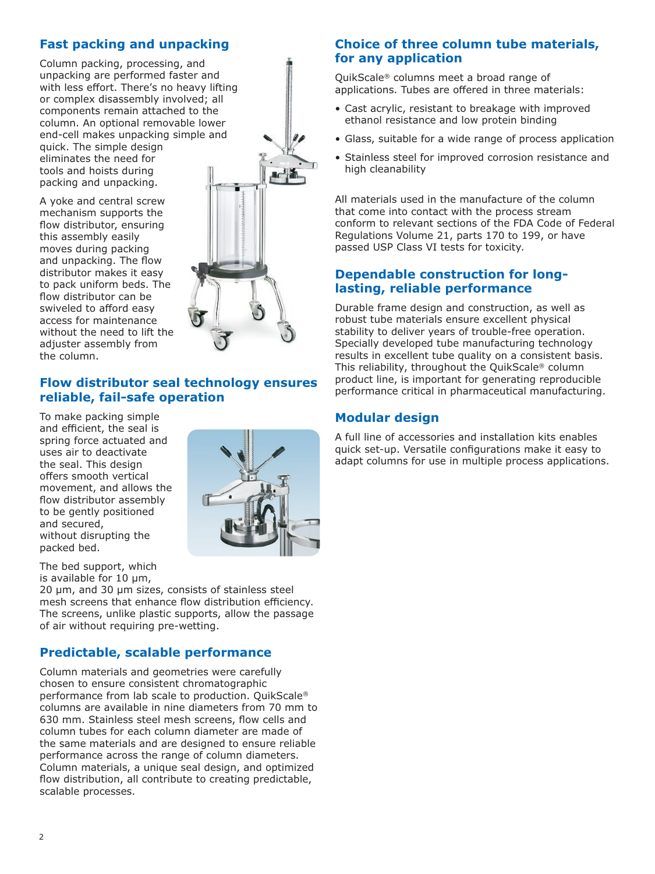## **Fast packing and unpacking**

Column packing, processing, and unpacking are performed faster and with less effort. There's no heavy lifting or complex disassembly involved; all components remain attached to the column. An optional removable lower end-cell makes unpacking simple and quick. The simple design eliminates the need for tools and hoists during packing and unpacking.

A yoke and central screw mechanism supports the flow distributor, ensuring this assembly easily moves during packing and unpacking. The flow distributor makes it easy to pack uniform beds. The flow distributor can be swiveled to afford easy access for maintenance without the need to lift the adjuster assembly from the column.



## **Flow distributor seal technology ensures reliable, fail-safe operation**

To make packing simple and efficient, the seal is spring force actuated and uses air to deactivate the seal. This design offers smooth vertical movement, and allows the flow distributor assembly to be gently positioned and secured, without disrupting the packed bed.



The bed support, which is available for 10 μm,

20 μm, and 30 μm sizes, consists of stainless steel mesh screens that enhance flow distribution efficiency. The screens, unlike plastic supports, allow the passage of air without requiring pre-wetting.

## **Predictable, scalable performance**

Column materials and geometries were carefully chosen to ensure consistent chromatographic performance from lab scale to production. QuikScale® columns are available in nine diameters from 70 mm to 630 mm. Stainless steel mesh screens, flow cells and column tubes for each column diameter are made of the same materials and are designed to ensure reliable performance across the range of column diameters. Column materials, a unique seal design, and optimized flow distribution, all contribute to creating predictable, scalable processes.

## **Choice of three column tube materials, for any application**

QuikScale® columns meet a broad range of applications. Tubes are offered in three materials:

- Cast acrylic, resistant to breakage with improved ethanol resistance and low protein binding
- Glass, suitable for a wide range of process application
- Stainless steel for improved corrosion resistance and high cleanability

All materials used in the manufacture of the column that come into contact with the process stream conform to relevant sections of the FDA Code of Federal Regulations Volume 21, parts 170 to 199, or have passed USP Class VI tests for toxicity.

## **Dependable construction for longlasting, reliable performance**

Durable frame design and construction, as well as robust tube materials ensure excellent physical stability to deliver years of trouble-free operation. Specially developed tube manufacturing technology results in excellent tube quality on a consistent basis. This reliability, throughout the QuikScale® column product line, is important for generating reproducible performance critical in pharmaceutical manufacturing.

## **Modular design**

A full line of accessories and installation kits enables quick set-up. Versatile configurations make it easy to adapt columns for use in multiple process applications.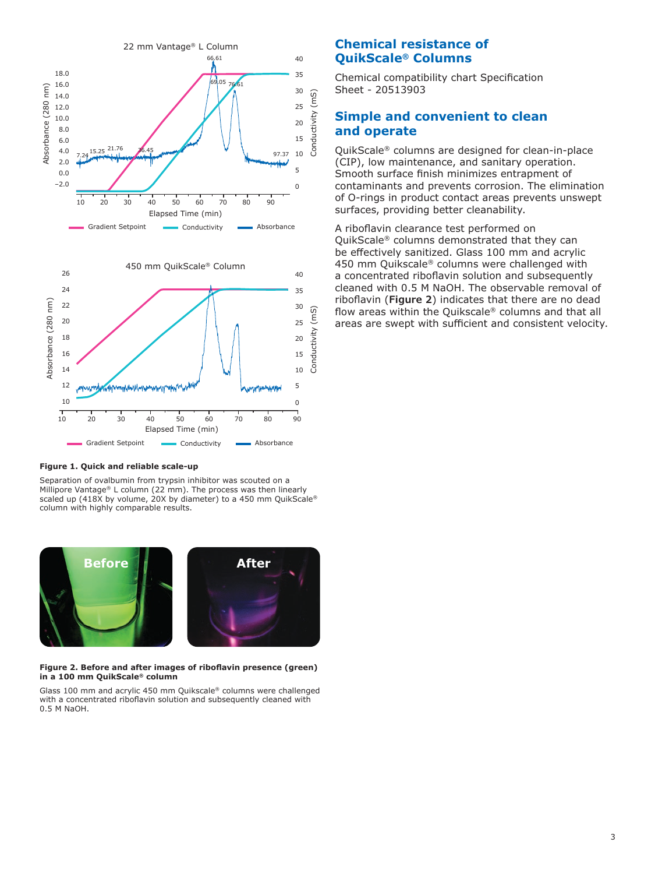



#### **Figure 1. Quick and reliable scale-up**

Separation of ovalbumin from trypsin inhibitor was scouted on a Millipore Vantage® L column (22 mm). The process was then linearly scaled up (418X by volume, 20X by diameter) to a 450 mm QuikScale® column with highly comparable results.



#### **Figure 2. Before and after images of riboflavin presence (green) in a 100 mm QuikScale® column**

Glass 100 mm and acrylic 450 mm Quikscale® columns were challenged with a concentrated riboflavin solution and subsequently cleaned with 0.5 M NaOH.

## **Chemical resistance of QuikScale® Columns**

Chemical compatibility chart Specification Sheet - 20513903

## **Simple and convenient to clean and operate**

QuikScale® columns are designed for clean-in-place (CIP), low maintenance, and sanitary operation. Smooth surface finish minimizes entrapment of contaminants and prevents corrosion. The elimination of O-rings in product contact areas prevents unswept surfaces, providing better cleanability.

A riboflavin clearance test performed on QuikScale® columns demonstrated that they can be effectively sanitized. Glass 100 mm and acrylic 450 mm Quikscale® columns were challenged with a concentrated riboflavin solution and subsequently cleaned with 0.5 M NaOH. The observable removal of riboflavin (**Figure 2**) indicates that there are no dead flow areas within the Quikscale® columns and that all areas are swept with sufficient and consistent velocity.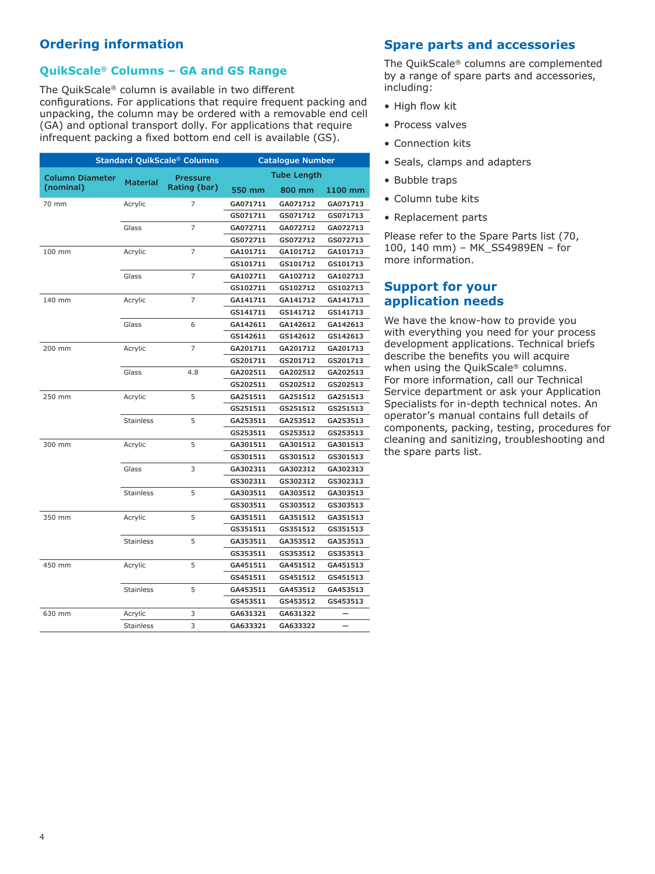## **Ordering information**

## **QuikScale® Columns – GA and GS Range**

The QuikScale® column is available in two different configurations. For applications that require frequent packing and unpacking, the column may be ordered with a removable end cell (GA) and optional transport dolly. For applications that require infrequent packing a fixed bottom end cell is available (GS).

| <b>Standard QuikScale® Columns</b> |                  |                                 | <b>Catalogue Number</b> |          |          |
|------------------------------------|------------------|---------------------------------|-------------------------|----------|----------|
| <b>Column Diameter</b>             | <b>Material</b>  | <b>Pressure</b><br>Rating (bar) | <b>Tube Length</b>      |          |          |
| (nominal)                          |                  |                                 | 550 mm                  | 800 mm   | 1100 mm  |
| 70 mm                              | Acrylic          | 7                               | GA071711                | GA071712 | GA071713 |
|                                    |                  |                                 | GS071711                | GS071712 | GS071713 |
|                                    | Glass            | $\overline{7}$                  | GA072711                | GA072712 | GA072713 |
|                                    |                  |                                 | GS072711                | GS072712 | GS072713 |
| 100 mm                             | Acrylic          | 7                               | GA101711                | GA101712 | GA101713 |
|                                    |                  |                                 | GS101711                | GS101712 | GS101713 |
|                                    | Glass            | $\overline{z}$                  | GA102711                | GA102712 | GA102713 |
|                                    |                  |                                 | GS102711                | GS102712 | GS102713 |
| 140 mm                             | Acrylic          | $\overline{7}$                  | GA141711                | GA141712 | GA141713 |
|                                    |                  |                                 | GS141711                | GS141712 | GS141713 |
|                                    | Glass            | 6                               | GA142611                | GA142612 | GA142613 |
|                                    |                  |                                 | GS142611                | GS142612 | GS142613 |
| 200 mm                             | Acrylic          | 7                               | GA201711                | GA201712 | GA201713 |
|                                    |                  |                                 | GS201711                | GS201712 | GS201713 |
|                                    | Glass            | 4.8                             | GA202511                | GA202512 | GA202513 |
|                                    |                  |                                 | GS202511                | GS202512 | GS202513 |
| 250 mm                             | Acrylic          | 5                               | GA251511                | GA251512 | GA251513 |
|                                    |                  |                                 | GS251511                | GS251512 | GS251513 |
|                                    | <b>Stainless</b> | 5                               | GA253511                | GA253512 | GA253513 |
|                                    |                  |                                 | GS253511                | GS253512 | GS253513 |
| 300 mm                             | Acrylic          | 5                               | GA301511                | GA301512 | GA301513 |
|                                    |                  |                                 | GS301511                | GS301512 | GS301513 |
|                                    | Glass            | 3                               | GA302311                | GA302312 | GA302313 |
|                                    |                  |                                 | GS302311                | GS302312 | GS302313 |
|                                    | <b>Stainless</b> | 5                               | GA303511                | GA303512 | GA303513 |
|                                    |                  |                                 | GS303511                | GS303512 | GS303513 |
| 350 mm                             | Acrylic          | 5                               | GA351511                | GA351512 | GA351513 |
|                                    |                  |                                 | GS351511                | GS351512 | GS351513 |
|                                    | <b>Stainless</b> | 5                               | GA353511                | GA353512 | GA353513 |
|                                    |                  |                                 | GS353511                | GS353512 | GS353513 |
| 450 mm                             | Acrylic          | 5                               | GA451511                | GA451512 | GA451513 |
|                                    |                  |                                 | GS451511                | GS451512 | GS451513 |
|                                    | <b>Stainless</b> | 5                               | GA453511                | GA453512 | GA453513 |
|                                    |                  |                                 | GS453511                | GS453512 | GS453513 |
| 630 mm                             | Acrylic          | 3                               | GA631321                | GA631322 |          |
|                                    | Stainless        | 3                               | GA633321                | GA633322 |          |

## **Spare parts and accessories**

The QuikScale® columns are complemented by a range of spare parts and accessories, including:

- High flow kit
- Process valves
- Connection kits
- Seals, clamps and adapters
- Bubble traps
- Column tube kits
- Replacement parts

Please refer to the Spare Parts list (70, 100, 140 mm) – MK\_SS4989EN – for more information.

## **Support for your application needs**

We have the know-how to provide you with everything you need for your process development applications. Technical briefs describe the benefits you will acquire when using the QuikScale® columns. For more information, call our Technical Service department or ask your Application Specialists for in-depth technical notes. An operator's manual contains full details of components, packing, testing, procedures for cleaning and sanitizing, troubleshooting and the spare parts list.